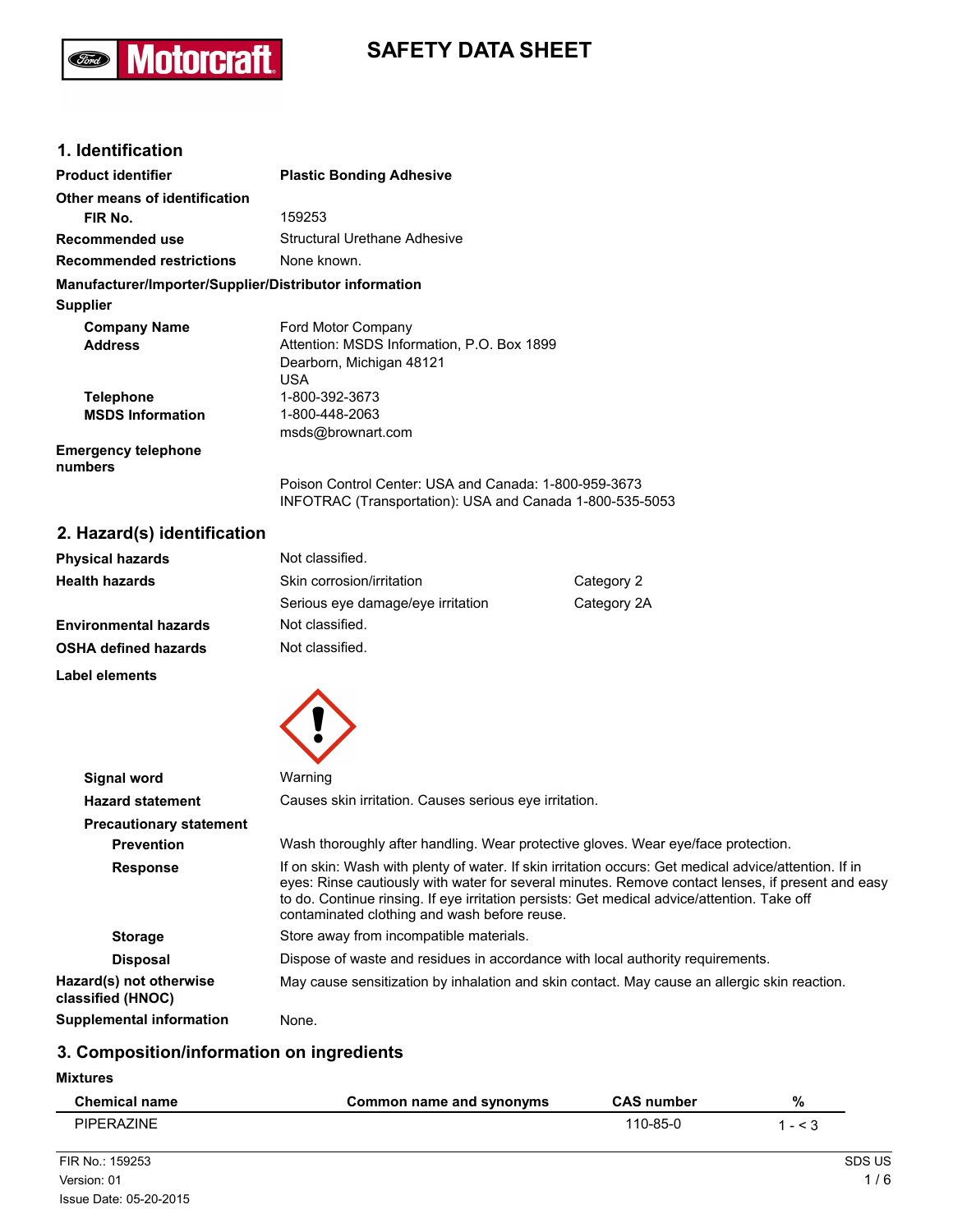## **Motorcraft Ford**

# **SAFETY DATA SHEET**

## **1. Identification**

| <b>Product identifier</b>                              | <b>Plastic Bonding Adhesive</b>                                                                                   |
|--------------------------------------------------------|-------------------------------------------------------------------------------------------------------------------|
| Other means of identification                          |                                                                                                                   |
| FIR No.                                                | 159253                                                                                                            |
| Recommended use                                        | Structural Urethane Adhesive                                                                                      |
| <b>Recommended restrictions</b>                        | None known.                                                                                                       |
| Manufacturer/Importer/Supplier/Distributor information |                                                                                                                   |
| <b>Supplier</b>                                        |                                                                                                                   |
| <b>Company Name</b>                                    | Ford Motor Company                                                                                                |
| <b>Address</b>                                         | Attention: MSDS Information, P.O. Box 1899                                                                        |
|                                                        | Dearborn, Michigan 48121                                                                                          |
|                                                        | USA                                                                                                               |
| <b>Telephone</b>                                       | 1-800-392-3673                                                                                                    |
| <b>MSDS Information</b>                                | 1-800-448-2063                                                                                                    |
|                                                        | msds@brownart.com                                                                                                 |
| <b>Emergency telephone</b><br>numbers                  |                                                                                                                   |
|                                                        | Poison Control Center: USA and Canada: 1-800-959-3673<br>INFOTRAC (Transportation): USA and Canada 1-800-535-5053 |

## **2. Hazard(s) identification**

| <b>Physical hazards</b> | Not classified.                   |             |
|-------------------------|-----------------------------------|-------------|
| Health hazards          | Skin corrosion/irritation         | Category 2  |
|                         | Serious eye damage/eye irritation | Category 2A |
| Environmental hazards   | Not classified.                   |             |
| OSHA defined hazards    | Not classified.                   |             |
|                         |                                   |             |

**Label elements**



| Signal word                                  | Warning                                                                                                                                                                                                                                                                                                                                                   |  |
|----------------------------------------------|-----------------------------------------------------------------------------------------------------------------------------------------------------------------------------------------------------------------------------------------------------------------------------------------------------------------------------------------------------------|--|
| <b>Hazard statement</b>                      | Causes skin irritation. Causes serious eve irritation.                                                                                                                                                                                                                                                                                                    |  |
| <b>Precautionary statement</b>               |                                                                                                                                                                                                                                                                                                                                                           |  |
| <b>Prevention</b>                            | Wash thoroughly after handling. Wear protective gloves. Wear eye/face protection.                                                                                                                                                                                                                                                                         |  |
| <b>Response</b>                              | If on skin: Wash with plenty of water. If skin irritation occurs: Get medical advice/attention. If in<br>eyes: Rinse cautiously with water for several minutes. Remove contact lenses, if present and easy<br>to do. Continue rinsing. If eye irritation persists: Get medical advice/attention. Take off<br>contaminated clothing and wash before reuse. |  |
| <b>Storage</b>                               | Store away from incompatible materials.                                                                                                                                                                                                                                                                                                                   |  |
| <b>Disposal</b>                              | Dispose of waste and residues in accordance with local authority requirements.                                                                                                                                                                                                                                                                            |  |
| Hazard(s) not otherwise<br>classified (HNOC) | May cause sensitization by inhalation and skin contact. May cause an allergic skin reaction.                                                                                                                                                                                                                                                              |  |
| <b>Supplemental information</b>              | None.                                                                                                                                                                                                                                                                                                                                                     |  |

## **3. Composition/information on ingredients**

**Mixtures**

| <b>Chemical name</b> | Common name and synonyms | <b>CAS number</b> | %            |
|----------------------|--------------------------|-------------------|--------------|
| <b>PIPERAZINE</b>    |                          | 110-85-0          | 1 - $\leq$ 3 |
|                      |                          |                   |              |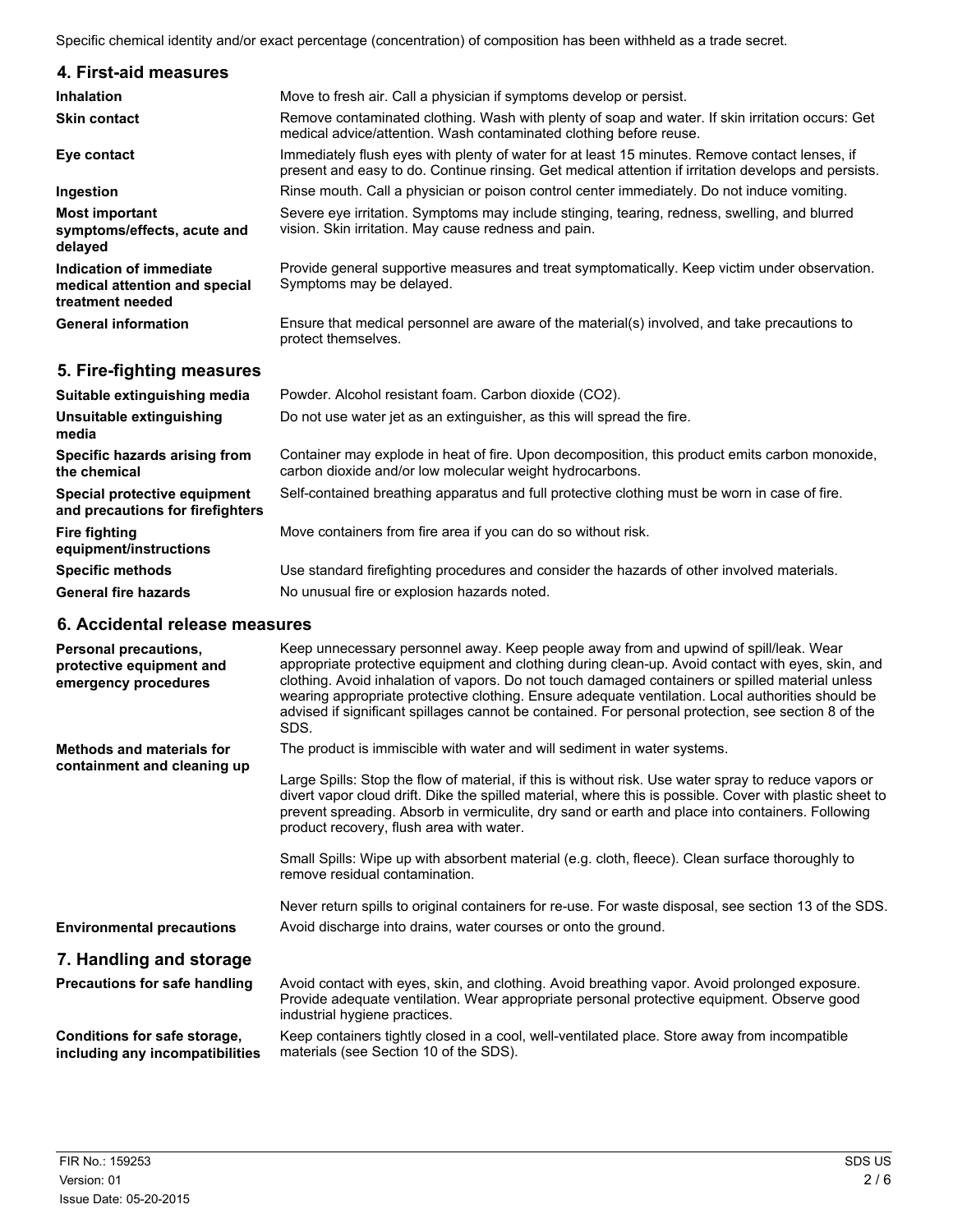Specific chemical identity and/or exact percentage (concentration) of composition has been withheld as a trade secret.

| 4. First-aid measures                                                        |                                                                                                                                                                                                        |
|------------------------------------------------------------------------------|--------------------------------------------------------------------------------------------------------------------------------------------------------------------------------------------------------|
| <b>Inhalation</b>                                                            | Move to fresh air. Call a physician if symptoms develop or persist.                                                                                                                                    |
| <b>Skin contact</b>                                                          | Remove contaminated clothing. Wash with plenty of soap and water. If skin irritation occurs: Get<br>medical advice/attention. Wash contaminated clothing before reuse.                                 |
| Eye contact                                                                  | Immediately flush eyes with plenty of water for at least 15 minutes. Remove contact lenses, if<br>present and easy to do. Continue rinsing. Get medical attention if irritation develops and persists. |
| Ingestion                                                                    | Rinse mouth. Call a physician or poison control center immediately. Do not induce vomiting.                                                                                                            |
| <b>Most important</b><br>symptoms/effects, acute and<br>delayed              | Severe eye irritation. Symptoms may include stinging, tearing, redness, swelling, and blurred<br>vision. Skin irritation. May cause redness and pain.                                                  |
| Indication of immediate<br>medical attention and special<br>treatment needed | Provide general supportive measures and treat symptomatically. Keep victim under observation.<br>Symptoms may be delayed.                                                                              |
| <b>General information</b>                                                   | Ensure that medical personnel are aware of the material(s) involved, and take precautions to<br>protect themselves.                                                                                    |
| 5. Fire-fighting measures                                                    |                                                                                                                                                                                                        |

| Suitable extinguishing media                                            | Powder. Alcohol resistant foam. Carbon dioxide (CO2).                                                                                                      |
|-------------------------------------------------------------------------|------------------------------------------------------------------------------------------------------------------------------------------------------------|
| Unsuitable extinguishing<br>media                                       | Do not use water jet as an extinguisher, as this will spread the fire.                                                                                     |
| Specific hazards arising from<br>the chemical                           | Container may explode in heat of fire. Upon decomposition, this product emits carbon monoxide,<br>carbon dioxide and/or low molecular weight hydrocarbons. |
| <b>Special protective equipment</b><br>and precautions for firefighters | Self-contained breathing apparatus and full protective clothing must be worn in case of fire.                                                              |
| Fire fighting<br>equipment/instructions                                 | Move containers from fire area if you can do so without risk.                                                                                              |
| Specific methods                                                        | Use standard firefighting procedures and consider the hazards of other involved materials.                                                                 |
| General fire hazards                                                    | No unusual fire or explosion hazards noted.                                                                                                                |

### **6. Accidental release measures**

| Personal precautions,<br>protective equipment and<br>emergency procedures | Keep unnecessary personnel away. Keep people away from and upwind of spill/leak. Wear<br>appropriate protective equipment and clothing during clean-up. Avoid contact with eyes, skin, and<br>clothing. Avoid inhalation of vapors. Do not touch damaged containers or spilled material unless<br>wearing appropriate protective clothing. Ensure adequate ventilation. Local authorities should be<br>advised if significant spillages cannot be contained. For personal protection, see section 8 of the<br>SDS. |
|---------------------------------------------------------------------------|--------------------------------------------------------------------------------------------------------------------------------------------------------------------------------------------------------------------------------------------------------------------------------------------------------------------------------------------------------------------------------------------------------------------------------------------------------------------------------------------------------------------|
| <b>Methods and materials for</b><br>containment and cleaning up           | The product is immiscible with water and will sediment in water systems.                                                                                                                                                                                                                                                                                                                                                                                                                                           |
|                                                                           | Large Spills: Stop the flow of material, if this is without risk. Use water spray to reduce vapors or<br>divert vapor cloud drift. Dike the spilled material, where this is possible. Cover with plastic sheet to<br>prevent spreading. Absorb in vermiculite, dry sand or earth and place into containers. Following<br>product recovery, flush area with water.                                                                                                                                                  |
|                                                                           | Small Spills: Wipe up with absorbent material (e.g. cloth, fleece). Clean surface thoroughly to<br>remove residual contamination.                                                                                                                                                                                                                                                                                                                                                                                  |
|                                                                           | Never return spills to original containers for re-use. For waste disposal, see section 13 of the SDS.                                                                                                                                                                                                                                                                                                                                                                                                              |
| <b>Environmental precautions</b>                                          | Avoid discharge into drains, water courses or onto the ground.                                                                                                                                                                                                                                                                                                                                                                                                                                                     |
| 7. Handling and storage                                                   |                                                                                                                                                                                                                                                                                                                                                                                                                                                                                                                    |
| <b>Precautions for safe handling</b>                                      | Avoid contact with eyes, skin, and clothing. Avoid breathing vapor. Avoid prolonged exposure.<br>Provide adequate ventilation. Wear appropriate personal protective equipment. Observe good<br>industrial hygiene practices.                                                                                                                                                                                                                                                                                       |
| Conditions for safe storage,<br>including any incompatibilities           | Keep containers tightly closed in a cool, well-ventilated place. Store away from incompatible<br>materials (see Section 10 of the SDS).                                                                                                                                                                                                                                                                                                                                                                            |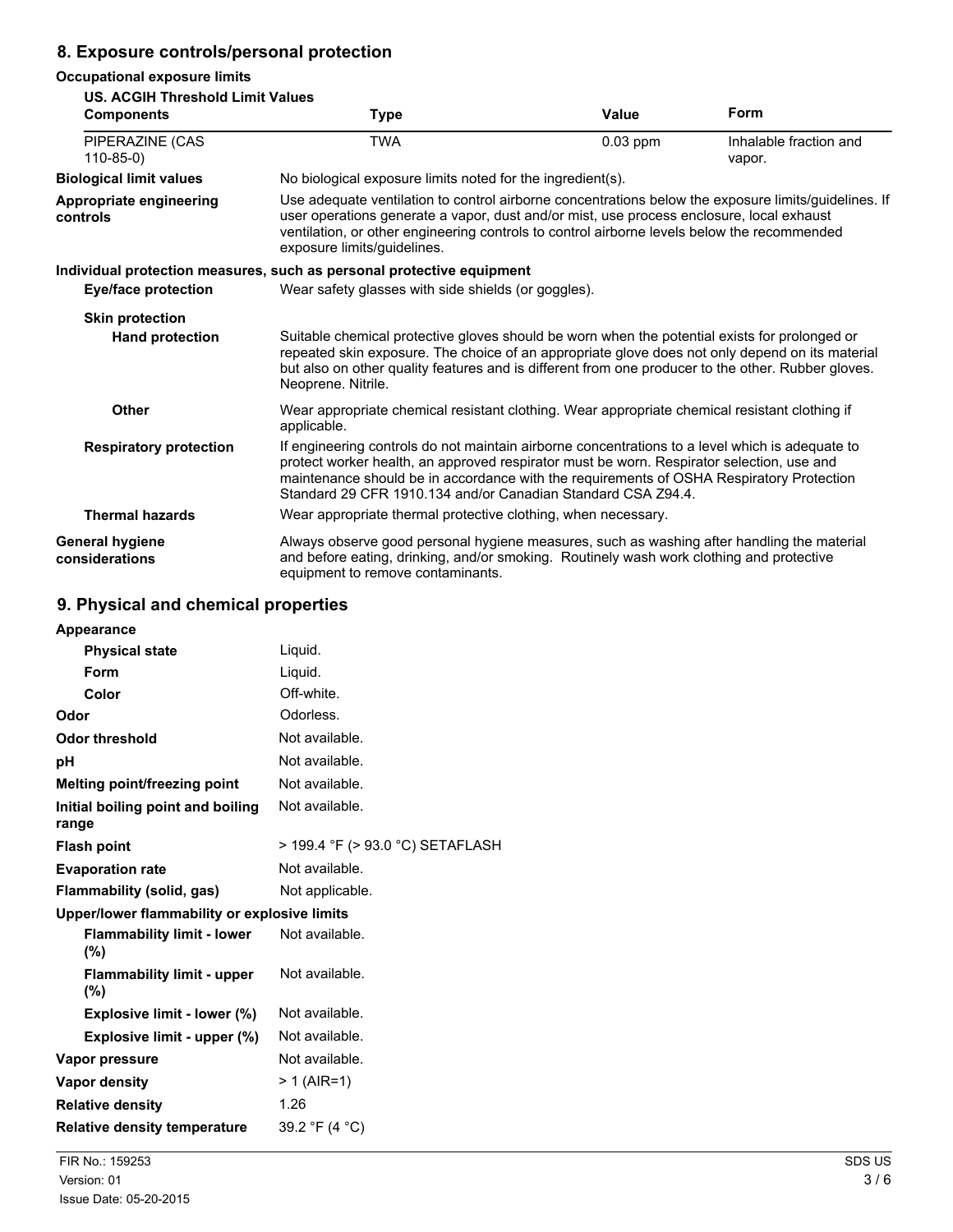## **8. Exposure controls/personal protection**

#### **Occupational exposure limits**

#### **US. ACGIH Threshold Limit Values Components Type Value Form** TWA **1200** 10.03 ppm Inhalable fraction and vapor. PIPERAZINE (CAS 110-85-0) **Biological limit values** No biological exposure limits noted for the ingredient(s). **Appropriate engineering controls** Use adequate ventilation to control airborne concentrations below the exposure limits/guidelines. If user operations generate a vapor, dust and/or mist, use process enclosure, local exhaust ventilation, or other engineering controls to control airborne levels below the recommended exposure limits/guidelines. **Individual protection measures, such as personal protective equipment Eye/face protection** Wear safety glasses with side shields (or goggles). **Skin protection Hand protection** Suitable chemical protective gloves should be worn when the potential exists for prolonged or repeated skin exposure. The choice of an appropriate glove does not only depend on its material but also on other quality features and is different from one producer to the other. Rubber gloves. Neoprene. Nitrile. **Other** Wear appropriate chemical resistant clothing. Wear appropriate chemical resistant clothing if applicable. **Respiratory protection** If engineering controls do not maintain airborne concentrations to a level which is adequate to protect worker health, an approved respirator must be worn. Respirator selection, use and maintenance should be in accordance with the requirements of OSHA Respiratory Protection Standard 29 CFR 1910.134 and/or Canadian Standard CSA Z94.4. **Thermal hazards** Wear appropriate thermal protective clothing, when necessary. **General hygiene considerations** Always observe good personal hygiene measures, such as washing after handling the material and before eating, drinking, and/or smoking. Routinely wash work clothing and protective equipment to remove contaminants.

### **9. Physical and chemical properties**

| <b>Appearance</b>                            |                                  |
|----------------------------------------------|----------------------------------|
| <b>Physical state</b>                        | Liquid.                          |
| <b>Form</b>                                  | Liguid.                          |
| Color                                        | Off-white.                       |
| Odor                                         | Odorless.                        |
| <b>Odor threshold</b>                        | Not available.                   |
| рH                                           | Not available.                   |
| Melting point/freezing point                 | Not available.                   |
| Initial boiling point and boiling<br>range   | Not available.                   |
| <b>Flash point</b>                           | > 199.4 °F (> 93.0 °C) SETAFLASH |
| <b>Evaporation rate</b>                      | Not available.                   |
| Flammability (solid, gas)                    | Not applicable.                  |
| Upper/lower flammability or explosive limits |                                  |
| <b>Flammability limit - lower</b><br>(%)     | Not available.                   |
| <b>Flammability limit - upper</b><br>(%)     | Not available.                   |
| Explosive limit - lower (%)                  | Not available.                   |
| Explosive limit - upper (%)                  | Not available.                   |
| Vapor pressure                               | Not available.                   |
| <b>Vapor density</b>                         | $> 1$ (AIR=1)                    |
| <b>Relative density</b>                      | 1.26                             |
| <b>Relative density temperature</b>          | 39.2 °F (4 °C)                   |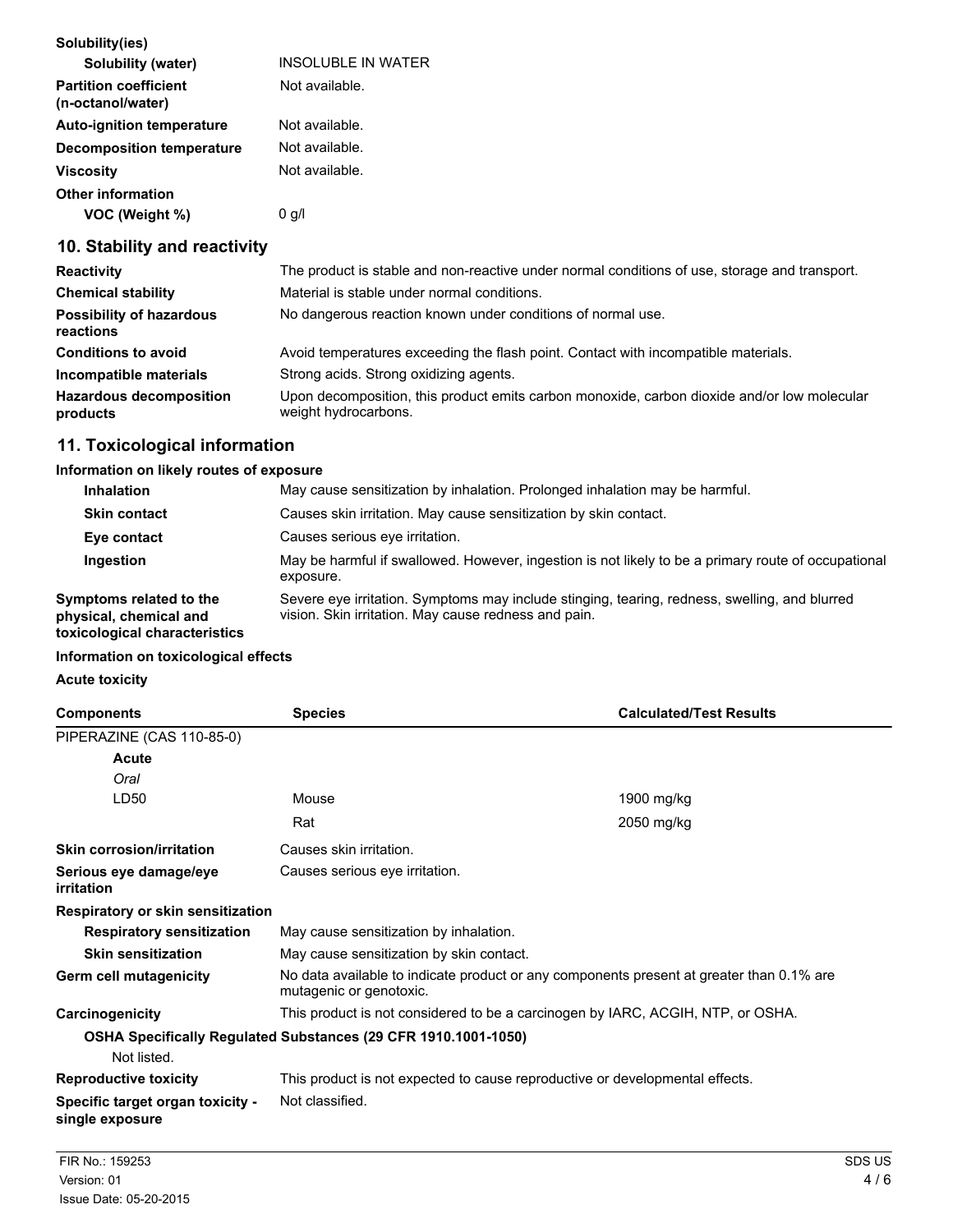| Solubility(ies)                                   |                           |
|---------------------------------------------------|---------------------------|
| Solubility (water)                                | <b>INSOLUBLE IN WATER</b> |
| <b>Partition coefficient</b><br>(n-octanol/water) | Not available.            |
| <b>Auto-ignition temperature</b>                  | Not available.            |
| <b>Decomposition temperature</b>                  | Not available.            |
| <b>Viscosity</b>                                  | Not available.            |
| <b>Other information</b>                          |                           |
| VOC (Weight %)                                    | $0$ g/l                   |

## **10. Stability and reactivity**

| <b>Reactivity</b>                            | The product is stable and non-reactive under normal conditions of use, storage and transport.                       |
|----------------------------------------------|---------------------------------------------------------------------------------------------------------------------|
| <b>Chemical stability</b>                    | Material is stable under normal conditions.                                                                         |
| <b>Possibility of hazardous</b><br>reactions | No dangerous reaction known under conditions of normal use.                                                         |
| <b>Conditions to avoid</b>                   | Avoid temperatures exceeding the flash point. Contact with incompatible materials.                                  |
| Incompatible materials                       | Strong acids. Strong oxidizing agents.                                                                              |
| <b>Hazardous decomposition</b><br>products   | Upon decomposition, this product emits carbon monoxide, carbon dioxide and/or low molecular<br>weight hydrocarbons. |

## **11. Toxicological information**

#### **Information on likely routes of exposure**

| <b>Inhalation</b>                                 | May cause sensitization by inhalation. Prolonged inhalation may be harmful.                                                                           |  |
|---------------------------------------------------|-------------------------------------------------------------------------------------------------------------------------------------------------------|--|
| <b>Skin contact</b>                               | Causes skin irritation. May cause sensitization by skin contact.                                                                                      |  |
| Eye contact                                       | Causes serious eve irritation.                                                                                                                        |  |
| Ingestion                                         | May be harmful if swallowed. However, ingestion is not likely to be a primary route of occupational<br>exposure.                                      |  |
| Symptoms related to the<br>physical, chemical and | Severe eye irritation. Symptoms may include stinging, tearing, redness, swelling, and blurred<br>vision. Skin irritation. May cause redness and pain. |  |

#### **toxicological characteristics**

#### **Information on toxicological effects**

#### **Acute toxicity**

| <b>Components</b>                                              | <b>Species</b>                                                                                                      | <b>Calculated/Test Results</b> |
|----------------------------------------------------------------|---------------------------------------------------------------------------------------------------------------------|--------------------------------|
| PIPERAZINE (CAS 110-85-0)                                      |                                                                                                                     |                                |
| Acute                                                          |                                                                                                                     |                                |
| Oral                                                           |                                                                                                                     |                                |
| LD50                                                           | Mouse                                                                                                               | 1900 mg/kg                     |
|                                                                | Rat                                                                                                                 | 2050 mg/kg                     |
| <b>Skin corrosion/irritation</b>                               | Causes skin irritation.                                                                                             |                                |
| Serious eye damage/eye<br>irritation                           | Causes serious eye irritation.                                                                                      |                                |
| Respiratory or skin sensitization                              |                                                                                                                     |                                |
| <b>Respiratory sensitization</b>                               | May cause sensitization by inhalation.                                                                              |                                |
| <b>Skin sensitization</b>                                      | May cause sensitization by skin contact.                                                                            |                                |
| Germ cell mutagenicity                                         | No data available to indicate product or any components present at greater than 0.1% are<br>mutagenic or genotoxic. |                                |
| Carcinogenicity                                                | This product is not considered to be a carcinogen by IARC, ACGIH, NTP, or OSHA.                                     |                                |
| OSHA Specifically Regulated Substances (29 CFR 1910.1001-1050) |                                                                                                                     |                                |
| Not listed.                                                    |                                                                                                                     |                                |
| <b>Reproductive toxicity</b>                                   | This product is not expected to cause reproductive or developmental effects.                                        |                                |
| Specific target organ toxicity -<br>single exposure            | Not classified.                                                                                                     |                                |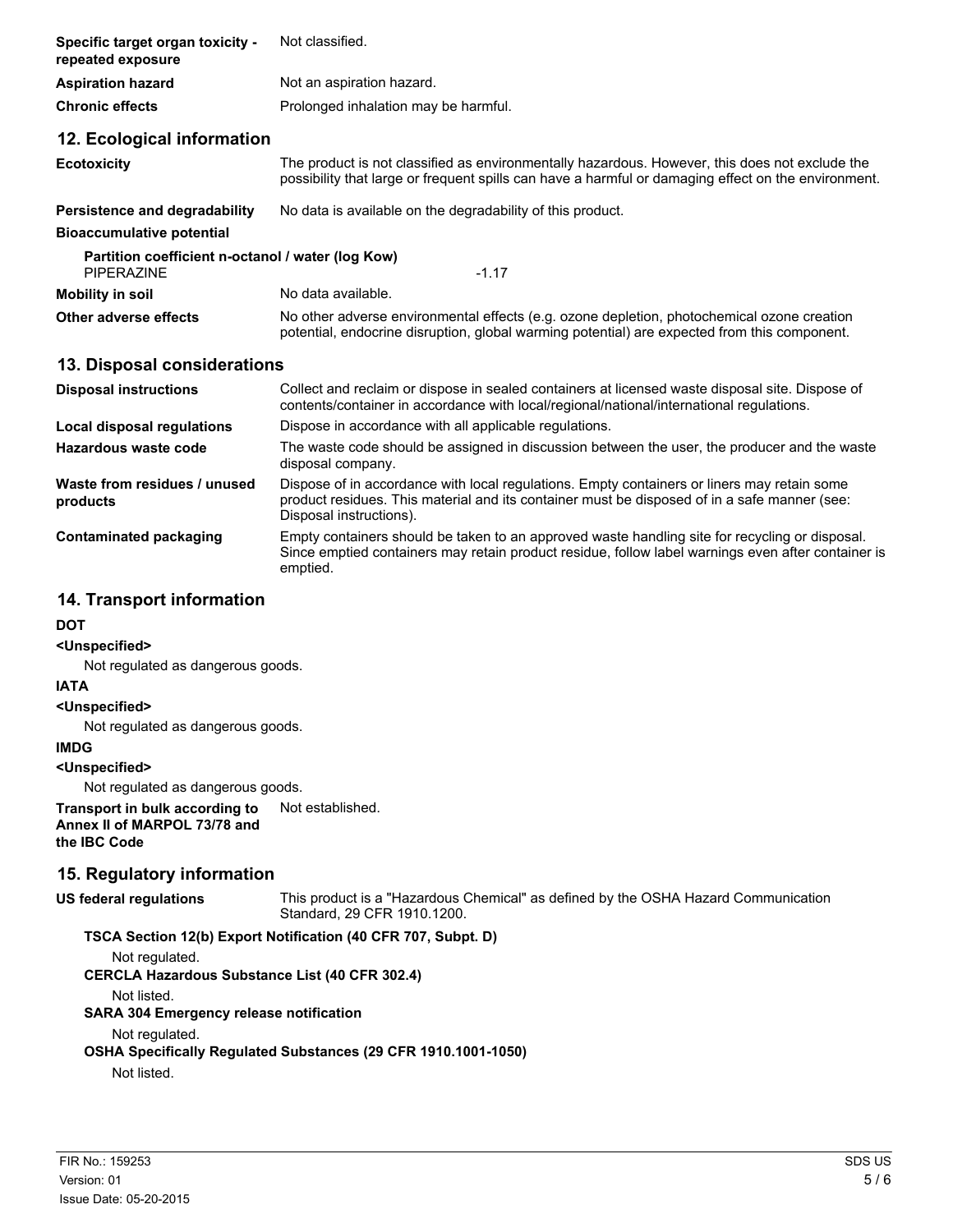| Specific target organ toxicity -<br>repeated exposure                             | Not classified.                                                                                                                                                                                       |
|-----------------------------------------------------------------------------------|-------------------------------------------------------------------------------------------------------------------------------------------------------------------------------------------------------|
| <b>Aspiration hazard</b>                                                          | Not an aspiration hazard.                                                                                                                                                                             |
| <b>Chronic effects</b>                                                            | Prolonged inhalation may be harmful.                                                                                                                                                                  |
| 12. Ecological information                                                        |                                                                                                                                                                                                       |
| <b>Ecotoxicity</b>                                                                | The product is not classified as environmentally hazardous. However, this does not exclude the<br>possibility that large or frequent spills can have a harmful or damaging effect on the environment. |
| Persistence and degradability                                                     | No data is available on the degradability of this product.                                                                                                                                            |
| <b>Bioaccumulative potential</b>                                                  |                                                                                                                                                                                                       |
| Partition coefficient n-octanol / water (log Kow)<br><b>PIPERAZINE</b><br>$-1.17$ |                                                                                                                                                                                                       |
| <b>Mobility in soil</b>                                                           | No data available.                                                                                                                                                                                    |
| Other adverse effects                                                             | No other adverse environmental effects (e.g. ozone depletion, photochemical ozone creation<br>potential, endocrine disruption, global warming potential) are expected from this component.            |
| 13. Disposal considerations                                                       |                                                                                                                                                                                                       |
| <b>Disposal instructions</b>                                                      | Collect and reclaim or dispose in sealed containers at licensed waste disposal site. Dispose of<br>contents/container in accordance with local/regional/national/international regulations.           |
| Local disposal regulations                                                        | Dispose in accordance with all applicable regulations.                                                                                                                                                |
| Hazardous waste code                                                              | The waste code should be assigned in discussion between the user, the producer and the waste<br>disposal company.                                                                                     |
| Waste from residues / unused                                                      | Dispose of in accordance with local regulations. Empty containers or liners may retain some                                                                                                           |

**products** product residues. This material and its container must be disposed of in a safe manner (see: Disposal instructions). **Contaminated packaging** Empty containers should be taken to an approved waste handling site for recycling or disposal. Since emptied containers may retain product residue, follow label warnings even after container is emptied.

### **14. Transport information**

#### **DOT**

#### **<Unspecified>**

Not regulated as dangerous goods.

#### **IATA**

#### **<Unspecified>**

Not regulated as dangerous goods.

#### **IMDG**

**<Unspecified>**

Not regulated as dangerous goods.

**Transport in bulk according to** Not established. **Annex II of MARPOL 73/78 and the IBC Code**

## **15. Regulatory information**

**US federal regulations** This product is a "Hazardous Chemical" as defined by the OSHA Hazard Communication Standard, 29 CFR 1910.1200.

#### **TSCA Section 12(b) Export Notification (40 CFR 707, Subpt. D)**

Not regulated.

**CERCLA Hazardous Substance List (40 CFR 302.4)**

Not listed.

#### **SARA 304 Emergency release notification**

#### Not regulated.

**OSHA Specifically Regulated Substances (29 CFR 1910.1001-1050)**

Not listed.